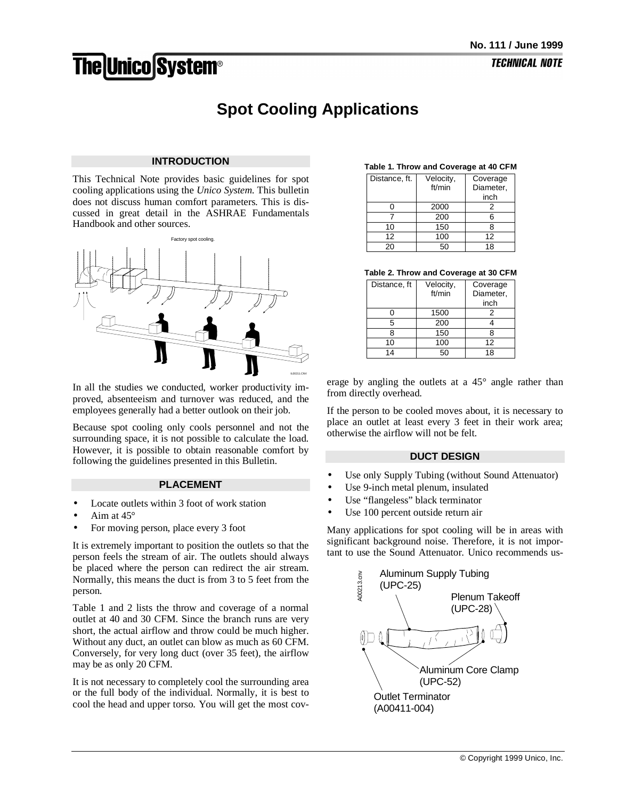# **The Unico System®**

# **Spot Cooling Applications**

# **INTRODUCTION**

This Technical Note provides basic guidelines for spot cooling applications using the *Unico System*. This bulletin does not discuss human comfort parameters. This is discussed in great detail in the ASHRAE Fundamentals Handbook and other sources.



In all the studies we conducted, worker productivity improved, absenteeism and turnover was reduced, and the employees generally had a better outlook on their job.

Because spot cooling only cools personnel and not the surrounding space, it is not possible to calculate the load. However, it is possible to obtain reasonable comfort by following the guidelines presented in this Bulletin.

#### **PLACEMENT**

- Locate outlets within 3 foot of work station
- Aim at 45°
- For moving person, place every 3 foot

It is extremely important to position the outlets so that the person feels the stream of air. The outlets should always be placed where the person can redirect the air stream. Normally, this means the duct is from 3 to 5 feet from the person.

Table 1 and 2 lists the throw and coverage of a normal outlet at 40 and 30 CFM. Since the branch runs are very short, the actual airflow and throw could be much higher. Without any duct, an outlet can blow as much as 60 CFM. Conversely, for very long duct (over 35 feet), the airflow may be as only 20 CFM.

It is not necessary to completely cool the surrounding area or the full body of the individual. Normally, it is best to cool the head and upper torso. You will get the most cov-

#### **Table 1. Throw and Coverage at 40 CFM**

| Distance, ft. | Velocity,<br>ft/min | Coverage<br>Diameter,<br>inch |
|---------------|---------------------|-------------------------------|
|               | 2000                |                               |
|               | 200                 | 6                             |
| 10            | 150                 | 8                             |
| 12            | 100                 | 12                            |
| 20            | 50                  | 18                            |

#### **Table 2. Throw and Coverage at 30 CFM**

| Distance, ft | Velocity, | Coverage  |  |
|--------------|-----------|-----------|--|
|              | ft/min    | Diameter, |  |
|              |           | inch      |  |
|              | 1500      | 2         |  |
| 5            | 200       |           |  |
| ጸ            | 150       | я         |  |
| 10           | 100       | 12        |  |
| 14           |           | 18        |  |

erage by angling the outlets at a 45° angle rather than from directly overhead.

If the person to be cooled moves about, it is necessary to place an outlet at least every 3 feet in their work area; otherwise the airflow will not be felt.

### **DUCT DESIGN**

- Use only Supply Tubing (without Sound Attenuator)
- Use 9-inch metal plenum, insulated
- Use "flangeless" black terminator
- Use 100 percent outside return air

Many applications for spot cooling will be in areas with significant background noise. Therefore, it is not important to use the Sound Attenuator. Unico recommends us-